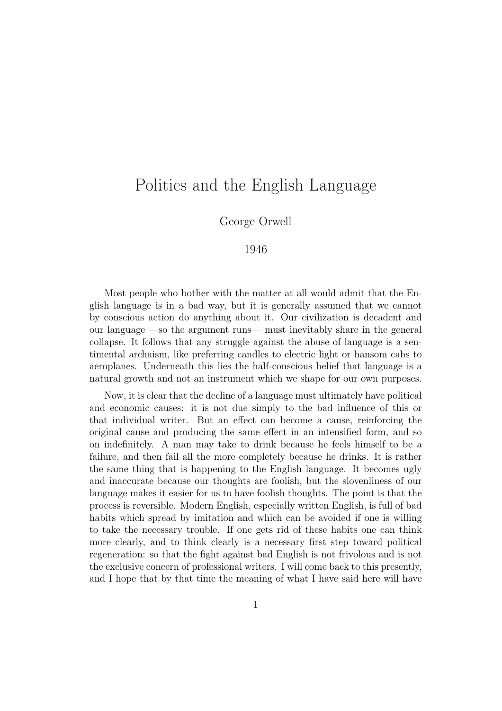## Politics and the English Language

George Orwell

## 1946

Most people who bother with the matter at all would admit that the English language is in a bad way, but it is generally assumed that we cannot by conscious action do anything about it. Our civilization is decadent and our language —so the argument runs— must inevitably share in the general collapse. It follows that any struggle against the abuse of language is a sentimental archaism, like preferring candles to electric light or hansom cabs to aeroplanes. Underneath this lies the half-conscious belief that language is a natural growth and not an instrument which we shape for our own purposes.

Now, it is clear that the decline of a language must ultimately have political and economic causes: it is not due simply to the bad influence of this or that individual writer. But an effect can become a cause, reinforcing the original cause and producing the same effect in an intensified form, and so on indefinitely. A man may take to drink because he feels himself to be a failure, and then fail all the more completely because he drinks. It is rather the same thing that is happening to the English language. It becomes ugly and inaccurate because our thoughts are foolish, but the slovenliness of our language makes it easier for us to have foolish thoughts. The point is that the process is reversible. Modern English, especially written English, is full of bad habits which spread by imitation and which can be avoided if one is willing to take the necessary trouble. If one gets rid of these habits one can think more clearly, and to think clearly is a necessary first step toward political regeneration: so that the fight against bad English is not frivolous and is not the exclusive concern of professional writers. I will come back to this presently, and I hope that by that time the meaning of what I have said here will have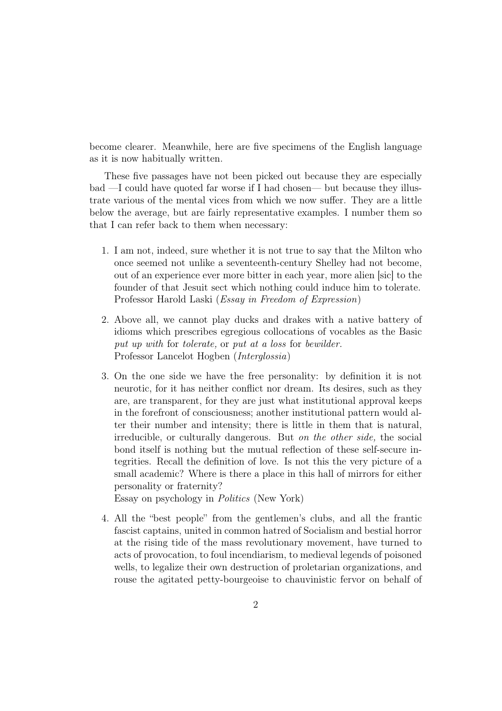become clearer. Meanwhile, here are five specimens of the English language as it is now habitually written.

These five passages have not been picked out because they are especially bad —I could have quoted far worse if I had chosen— but because they illustrate various of the mental vices from which we now suffer. They are a little below the average, but are fairly representative examples. I number them so that I can refer back to them when necessary:

- 1. I am not, indeed, sure whether it is not true to say that the Milton who once seemed not unlike a seventeenth-century Shelley had not become, out of an experience ever more bitter in each year, more alien [sic] to the founder of that Jesuit sect which nothing could induce him to tolerate. Professor Harold Laski (Essay in Freedom of Expression)
- 2. Above all, we cannot play ducks and drakes with a native battery of idioms which prescribes egregious collocations of vocables as the Basic put up with for tolerate, or put at a loss for bewilder. Professor Lancelot Hogben (Interglossia)
- 3. On the one side we have the free personality: by definition it is not neurotic, for it has neither conflict nor dream. Its desires, such as they are, are transparent, for they are just what institutional approval keeps in the forefront of consciousness; another institutional pattern would alter their number and intensity; there is little in them that is natural, irreducible, or culturally dangerous. But on the other side, the social bond itself is nothing but the mutual reflection of these self-secure integrities. Recall the definition of love. Is not this the very picture of a small academic? Where is there a place in this hall of mirrors for either personality or fraternity?

Essay on psychology in Politics (New York)

4. All the "best people" from the gentlemen's clubs, and all the frantic fascist captains, united in common hatred of Socialism and bestial horror at the rising tide of the mass revolutionary movement, have turned to acts of provocation, to foul incendiarism, to medieval legends of poisoned wells, to legalize their own destruction of proletarian organizations, and rouse the agitated petty-bourgeoise to chauvinistic fervor on behalf of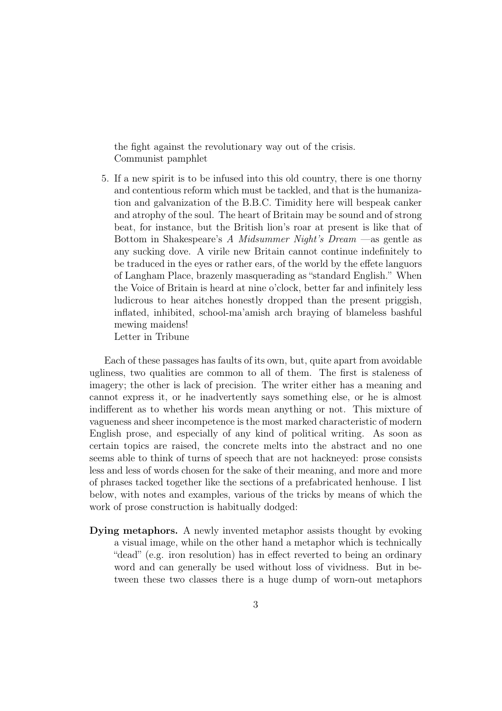the fight against the revolutionary way out of the crisis. Communist pamphlet

5. If a new spirit is to be infused into this old country, there is one thorny and contentious reform which must be tackled, and that is the humanization and galvanization of the B.B.C. Timidity here will bespeak canker and atrophy of the soul. The heart of Britain may be sound and of strong beat, for instance, but the British lion's roar at present is like that of Bottom in Shakespeare's A Midsummer Night's Dream —as gentle as any sucking dove. A virile new Britain cannot continue indefinitely to be traduced in the eyes or rather ears, of the world by the effete languors of Langham Place, brazenly masquerading as "standard English." When the Voice of Britain is heard at nine o'clock, better far and infinitely less ludicrous to hear aitches honestly dropped than the present priggish, inflated, inhibited, school-ma'amish arch braying of blameless bashful mewing maidens! Letter in Tribune

Each of these passages has faults of its own, but, quite apart from avoidable ugliness, two qualities are common to all of them. The first is staleness of imagery; the other is lack of precision. The writer either has a meaning and cannot express it, or he inadvertently says something else, or he is almost indifferent as to whether his words mean anything or not. This mixture of vagueness and sheer incompetence is the most marked characteristic of modern English prose, and especially of any kind of political writing. As soon as certain topics are raised, the concrete melts into the abstract and no one seems able to think of turns of speech that are not hackneyed: prose consists less and less of words chosen for the sake of their meaning, and more and more of phrases tacked together like the sections of a prefabricated henhouse. I list below, with notes and examples, various of the tricks by means of which the work of prose construction is habitually dodged:

Dying metaphors. A newly invented metaphor assists thought by evoking a visual image, while on the other hand a metaphor which is technically "dead" (e.g. iron resolution) has in effect reverted to being an ordinary word and can generally be used without loss of vividness. But in between these two classes there is a huge dump of worn-out metaphors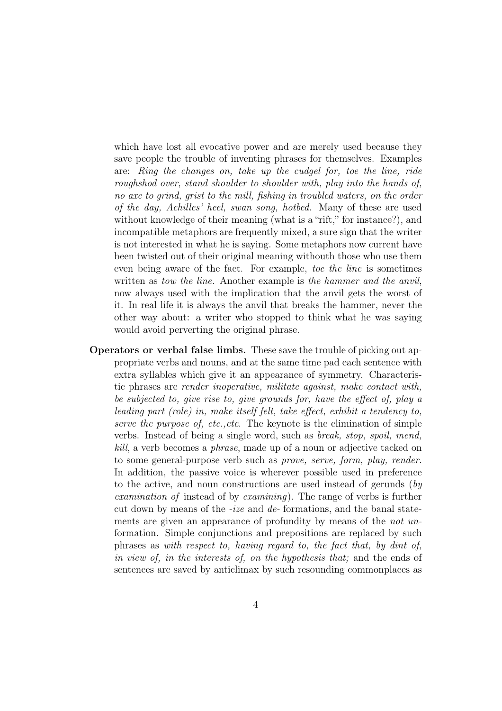which have lost all evocative power and are merely used because they save people the trouble of inventing phrases for themselves. Examples are: Ring the changes on, take up the cudgel for, toe the line, ride roughshod over, stand shoulder to shoulder with, play into the hands of, no axe to grind, grist to the mill, fishing in troubled waters, on the order of the day, Achilles' heel, swan song, hotbed. Many of these are used without knowledge of their meaning (what is a "rift," for instance?), and incompatible metaphors are frequently mixed, a sure sign that the writer is not interested in what he is saying. Some metaphors now current have been twisted out of their original meaning withouth those who use them even being aware of the fact. For example, toe the line is sometimes written as *tow the line*. Another example is *the hammer and the anvil*, now always used with the implication that the anvil gets the worst of it. In real life it is always the anvil that breaks the hammer, never the other way about: a writer who stopped to think what he was saying would avoid perverting the original phrase.

Operators or verbal false limbs. These save the trouble of picking out appropriate verbs and nouns, and at the same time pad each sentence with extra syllables which give it an appearance of symmetry. Characteristic phrases are render inoperative, militate against, make contact with, be subjected to, give rise to, give grounds for, have the effect of, play a leading part (role) in, make itself felt, take effect, exhibit a tendency to, serve the purpose of, etc.,etc. The keynote is the elimination of simple verbs. Instead of being a single word, such as break, stop, spoil, mend, kill, a verb becomes a phrase, made up of a noun or adjective tacked on to some general-purpose verb such as prove, serve, form, play, render. In addition, the passive voice is wherever possible used in preference to the active, and noun constructions are used instead of gerunds (by examination of instead of by examining). The range of verbs is further cut down by means of the -ize and de- formations, and the banal statements are given an appearance of profundity by means of the *not un*formation. Simple conjunctions and prepositions are replaced by such phrases as with respect to, having regard to, the fact that, by dint of, in view of, in the interests of, on the hypothesis that; and the ends of sentences are saved by anticlimax by such resounding commonplaces as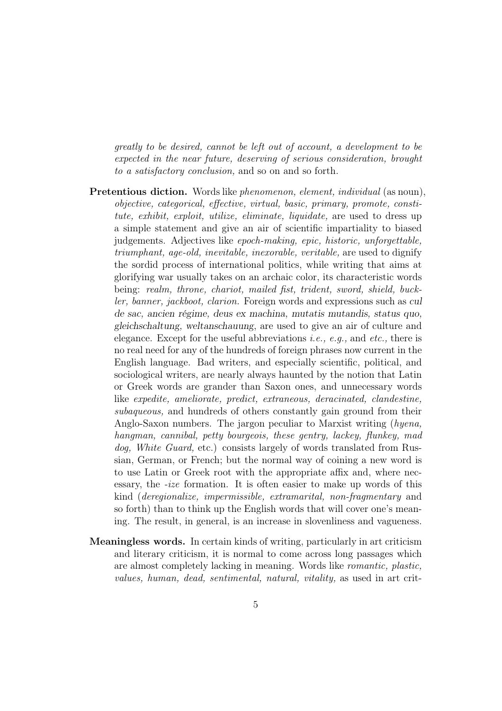greatly to be desired, cannot be left out of account, a development to be expected in the near future, deserving of serious consideration, brought to a satisfactory conclusion, and so on and so forth.

- Pretentious diction. Words like *phenomenon*, *element*, *individual* (as noun), objective, categorical, effective, virtual, basic, primary, promote, constitute, exhibit, exploit, utilize, eliminate, liquidate, are used to dress up a simple statement and give an air of scientific impartiality to biased judgements. Adjectives like epoch-making, epic, historic, unforgettable, triumphant, age-old, inevitable, inexorable, veritable, are used to dignify the sordid process of international politics, while writing that aims at glorifying war usually takes on an archaic color, its characteristic words being: realm, throne, chariot, mailed fist, trident, sword, shield, buckler, banner, jackboot, clarion. Foreign words and expressions such as cul de sac, ancien régime, deus ex machina, mutatis mutandis, status quo, gleichschaltung, weltanschauung, are used to give an air of culture and elegance. Except for the useful abbreviations *i.e.*, *e.g.*, and *etc.*, there is no real need for any of the hundreds of foreign phrases now current in the English language. Bad writers, and especially scientific, political, and sociological writers, are nearly always haunted by the notion that Latin or Greek words are grander than Saxon ones, and unnecessary words like expedite, ameliorate, predict, extraneous, deracinated, clandestine, subaqueous, and hundreds of others constantly gain ground from their Anglo-Saxon numbers. The jargon peculiar to Marxist writing (hyena, hangman, cannibal, petty bourgeois, these gentry, lackey, flunkey, mad dog, White Guard, etc.) consists largely of words translated from Russian, German, or French; but the normal way of coining a new word is to use Latin or Greek root with the appropriate affix and, where necessary, the -ize formation. It is often easier to make up words of this kind (deregionalize, impermissible, extramarital, non-fragmentary and so forth) than to think up the English words that will cover one's meaning. The result, in general, is an increase in slovenliness and vagueness.
- Meaningless words. In certain kinds of writing, particularly in art criticism and literary criticism, it is normal to come across long passages which are almost completely lacking in meaning. Words like romantic, plastic, values, human, dead, sentimental, natural, vitality, as used in art crit-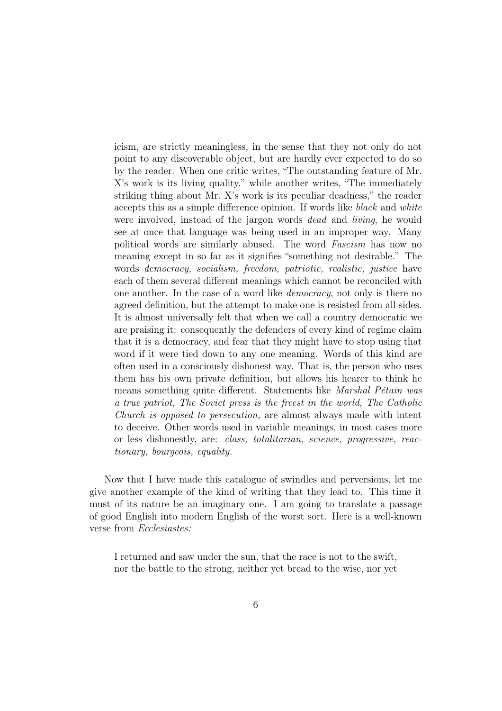icism, are strictly meaningless, in the sense that they not only do not point to any discoverable object, but are hardly ever expected to do so by the reader. When one critic writes, "The outstanding feature of Mr. X's work is its living quality," while another writes, "The immediately striking thing about Mr. X's work is its peculiar deadness," the reader accepts this as a simple difference opinion. If words like black and white were involved, instead of the jargon words dead and living, he would see at once that language was being used in an improper way. Many political words are similarly abused. The word Fascism has now no meaning except in so far as it signifies "something not desirable." The words democracy, socialism, freedom, patriotic, realistic, justice have each of them several different meanings which cannot be reconciled with one another. In the case of a word like democracy, not only is there no agreed definition, but the attempt to make one is resisted from all sides. It is almost universally felt that when we call a country democratic we are praising it: consequently the defenders of every kind of regime claim that it is a democracy, and fear that they might have to stop using that word if it were tied down to any one meaning. Words of this kind are often used in a consciously dishonest way. That is, the person who uses them has his own private definition, but allows his hearer to think he means something quite different. Statements like Marshal Pétain was a true patriot, The Soviet press is the freest in the world, The Catholic Church is opposed to persecution, are almost always made with intent to deceive. Other words used in variable meanings, in most cases more or less dishonestly, are: class, totalitarian, science, progressive, reactionary, bourgeois, equality.

Now that I have made this catalogue of swindles and perversions, let me give another example of the kind of writing that they lead to. This time it must of its nature be an imaginary one. I am going to translate a passage of good English into modern English of the worst sort. Here is a well-known verse from Ecclesiastes:

I returned and saw under the sun, that the race is not to the swift, nor the battle to the strong, neither yet bread to the wise, nor yet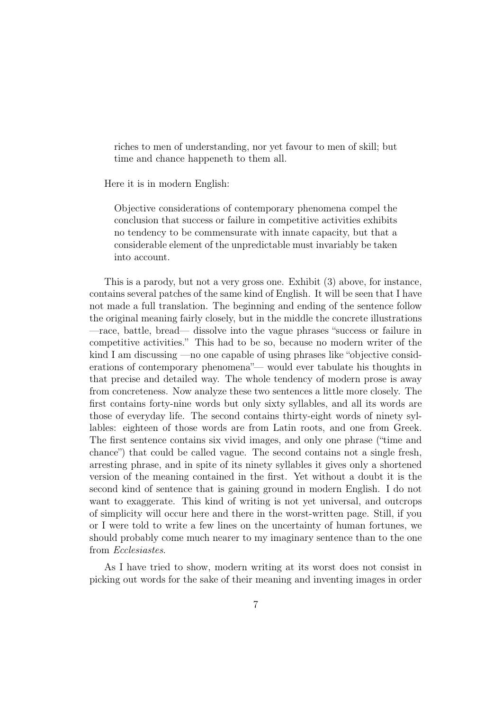riches to men of understanding, nor yet favour to men of skill; but time and chance happeneth to them all.

Here it is in modern English:

Objective considerations of contemporary phenomena compel the conclusion that success or failure in competitive activities exhibits no tendency to be commensurate with innate capacity, but that a considerable element of the unpredictable must invariably be taken into account.

This is a parody, but not a very gross one. Exhibit (3) above, for instance, contains several patches of the same kind of English. It will be seen that I have not made a full translation. The beginning and ending of the sentence follow the original meaning fairly closely, but in the middle the concrete illustrations —race, battle, bread— dissolve into the vague phrases "success or failure in competitive activities." This had to be so, because no modern writer of the kind I am discussing —no one capable of using phrases like "objective considerations of contemporary phenomena"— would ever tabulate his thoughts in that precise and detailed way. The whole tendency of modern prose is away from concreteness. Now analyze these two sentences a little more closely. The first contains forty-nine words but only sixty syllables, and all its words are those of everyday life. The second contains thirty-eight words of ninety syllables: eighteen of those words are from Latin roots, and one from Greek. The first sentence contains six vivid images, and only one phrase ("time and chance") that could be called vague. The second contains not a single fresh, arresting phrase, and in spite of its ninety syllables it gives only a shortened version of the meaning contained in the first. Yet without a doubt it is the second kind of sentence that is gaining ground in modern English. I do not want to exaggerate. This kind of writing is not yet universal, and outcrops of simplicity will occur here and there in the worst-written page. Still, if you or I were told to write a few lines on the uncertainty of human fortunes, we should probably come much nearer to my imaginary sentence than to the one from Ecclesiastes.

As I have tried to show, modern writing at its worst does not consist in picking out words for the sake of their meaning and inventing images in order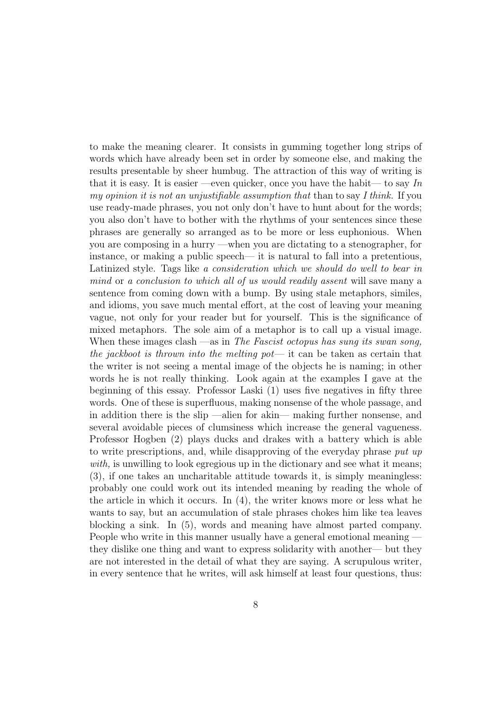to make the meaning clearer. It consists in gumming together long strips of words which have already been set in order by someone else, and making the results presentable by sheer humbug. The attraction of this way of writing is that it is easy. It is easier —even quicker, once you have the habit— to say In my opinion it is not an unjustifiable assumption that than to say I think. If you use ready-made phrases, you not only don't have to hunt about for the words; you also don't have to bother with the rhythms of your sentences since these phrases are generally so arranged as to be more or less euphonious. When you are composing in a hurry —when you are dictating to a stenographer, for instance, or making a public speech— it is natural to fall into a pretentious, Latinized style. Tags like a consideration which we should do well to bear in mind or a conclusion to which all of us would readily assent will save many a sentence from coming down with a bump. By using stale metaphors, similes, and idioms, you save much mental effort, at the cost of leaving your meaning vague, not only for your reader but for yourself. This is the significance of mixed metaphors. The sole aim of a metaphor is to call up a visual image. When these images clash —as in The Fascist octopus has sung its swan song, the jackboot is thrown into the melting pot— it can be taken as certain that the writer is not seeing a mental image of the objects he is naming; in other words he is not really thinking. Look again at the examples I gave at the beginning of this essay. Professor Laski (1) uses five negatives in fifty three words. One of these is superfluous, making nonsense of the whole passage, and in addition there is the slip —alien for akin— making further nonsense, and several avoidable pieces of clumsiness which increase the general vagueness. Professor Hogben (2) plays ducks and drakes with a battery which is able to write prescriptions, and, while disapproving of the everyday phrase put up with, is unwilling to look egregious up in the dictionary and see what it means; (3), if one takes an uncharitable attitude towards it, is simply meaningless: probably one could work out its intended meaning by reading the whole of the article in which it occurs. In (4), the writer knows more or less what he wants to say, but an accumulation of stale phrases chokes him like tea leaves blocking a sink. In (5), words and meaning have almost parted company. People who write in this manner usually have a general emotional meaning they dislike one thing and want to express solidarity with another— but they are not interested in the detail of what they are saying. A scrupulous writer, in every sentence that he writes, will ask himself at least four questions, thus: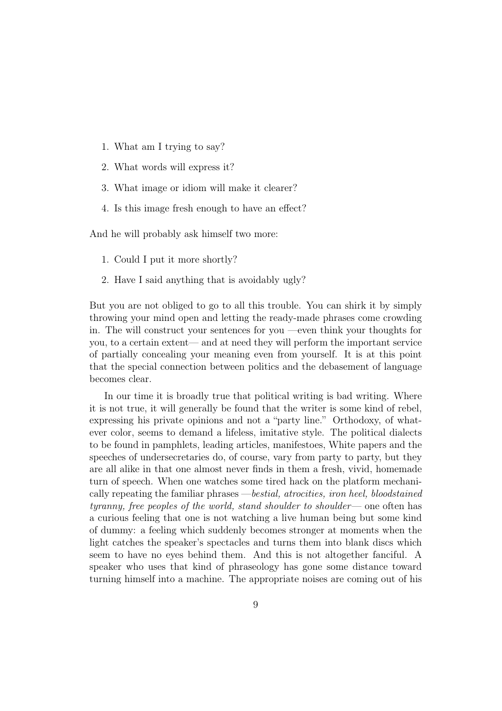- 1. What am I trying to say?
- 2. What words will express it?
- 3. What image or idiom will make it clearer?
- 4. Is this image fresh enough to have an effect?

And he will probably ask himself two more:

- 1. Could I put it more shortly?
- 2. Have I said anything that is avoidably ugly?

But you are not obliged to go to all this trouble. You can shirk it by simply throwing your mind open and letting the ready-made phrases come crowding in. The will construct your sentences for you —even think your thoughts for you, to a certain extent— and at need they will perform the important service of partially concealing your meaning even from yourself. It is at this point that the special connection between politics and the debasement of language becomes clear.

In our time it is broadly true that political writing is bad writing. Where it is not true, it will generally be found that the writer is some kind of rebel, expressing his private opinions and not a "party line." Orthodoxy, of whatever color, seems to demand a lifeless, imitative style. The political dialects to be found in pamphlets, leading articles, manifestoes, White papers and the speeches of undersecretaries do, of course, vary from party to party, but they are all alike in that one almost never finds in them a fresh, vivid, homemade turn of speech. When one watches some tired hack on the platform mechanically repeating the familiar phrases —bestial, atrocities, iron heel, bloodstained tyranny, free peoples of the world, stand shoulder to shoulder— one often has a curious feeling that one is not watching a live human being but some kind of dummy: a feeling which suddenly becomes stronger at moments when the light catches the speaker's spectacles and turns them into blank discs which seem to have no eyes behind them. And this is not altogether fanciful. A speaker who uses that kind of phraseology has gone some distance toward turning himself into a machine. The appropriate noises are coming out of his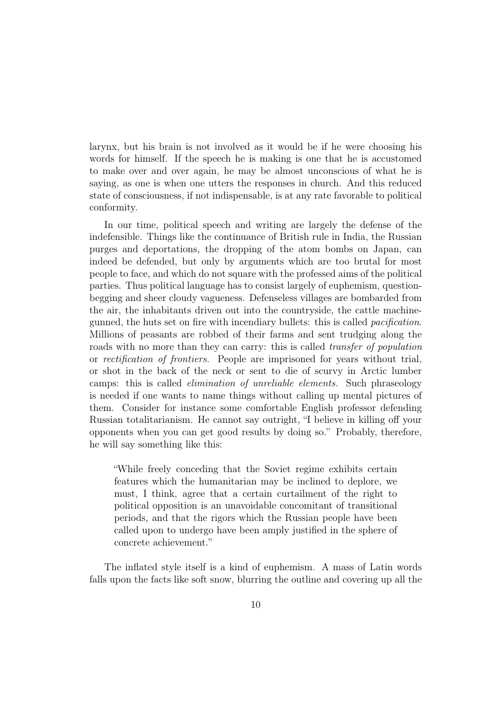larynx, but his brain is not involved as it would be if he were choosing his words for himself. If the speech he is making is one that he is accustomed to make over and over again, he may be almost unconscious of what he is saying, as one is when one utters the responses in church. And this reduced state of consciousness, if not indispensable, is at any rate favorable to political conformity.

In our time, political speech and writing are largely the defense of the indefensible. Things like the continuance of British rule in India, the Russian purges and deportations, the dropping of the atom bombs on Japan, can indeed be defended, but only by arguments which are too brutal for most people to face, and which do not square with the professed aims of the political parties. Thus political language has to consist largely of euphemism, questionbegging and sheer cloudy vagueness. Defenseless villages are bombarded from the air, the inhabitants driven out into the countryside, the cattle machinegunned, the huts set on fire with incendiary bullets: this is called pacification. Millions of peasants are robbed of their farms and sent trudging along the roads with no more than they can carry: this is called *transfer of population* or rectification of frontiers. People are imprisoned for years without trial, or shot in the back of the neck or sent to die of scurvy in Arctic lumber camps: this is called *elimination of unreliable elements*. Such phraseology is needed if one wants to name things without calling up mental pictures of them. Consider for instance some comfortable English professor defending Russian totalitarianism. He cannot say outright, "I believe in killing off your opponents when you can get good results by doing so." Probably, therefore, he will say something like this:

"While freely conceding that the Soviet regime exhibits certain features which the humanitarian may be inclined to deplore, we must, I think, agree that a certain curtailment of the right to political opposition is an unavoidable concomitant of transitional periods, and that the rigors which the Russian people have been called upon to undergo have been amply justified in the sphere of concrete achievement."

The inflated style itself is a kind of euphemism. A mass of Latin words falls upon the facts like soft snow, blurring the outline and covering up all the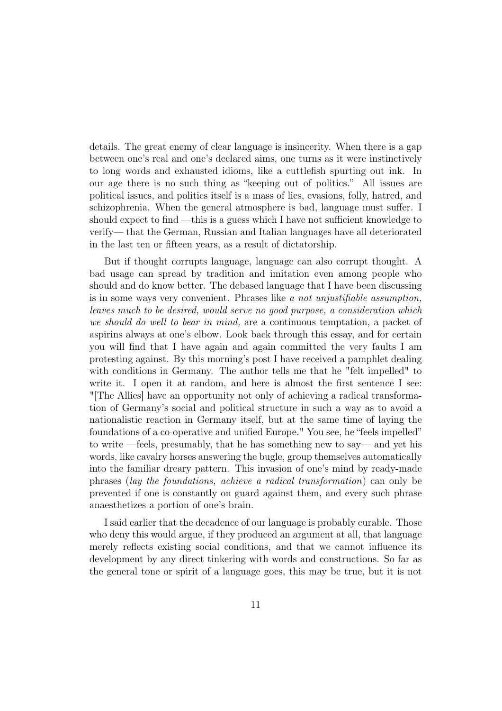details. The great enemy of clear language is insincerity. When there is a gap between one's real and one's declared aims, one turns as it were instinctively to long words and exhausted idioms, like a cuttlefish spurting out ink. In our age there is no such thing as "keeping out of politics." All issues are political issues, and politics itself is a mass of lies, evasions, folly, hatred, and schizophrenia. When the general atmosphere is bad, language must suffer. I should expect to find —this is a guess which I have not sufficient knowledge to verify— that the German, Russian and Italian languages have all deteriorated in the last ten or fifteen years, as a result of dictatorship.

But if thought corrupts language, language can also corrupt thought. A bad usage can spread by tradition and imitation even among people who should and do know better. The debased language that I have been discussing is in some ways very convenient. Phrases like a not unjustifiable assumption, leaves much to be desired, would serve no good purpose, a consideration which we should do well to bear in mind, are a continuous temptation, a packet of aspirins always at one's elbow. Look back through this essay, and for certain you will find that I have again and again committed the very faults I am protesting against. By this morning's post I have received a pamphlet dealing with conditions in Germany. The author tells me that he "felt impelled" to write it. I open it at random, and here is almost the first sentence I see: "[The Allies] have an opportunity not only of achieving a radical transformation of Germany's social and political structure in such a way as to avoid a nationalistic reaction in Germany itself, but at the same time of laying the foundations of a co-operative and unified Europe." You see, he "feels impelled" to write —feels, presumably, that he has something new to say— and yet his words, like cavalry horses answering the bugle, group themselves automatically into the familiar dreary pattern. This invasion of one's mind by ready-made phrases (lay the foundations, achieve a radical transformation) can only be prevented if one is constantly on guard against them, and every such phrase anaesthetizes a portion of one's brain.

I said earlier that the decadence of our language is probably curable. Those who deny this would argue, if they produced an argument at all, that language merely reflects existing social conditions, and that we cannot influence its development by any direct tinkering with words and constructions. So far as the general tone or spirit of a language goes, this may be true, but it is not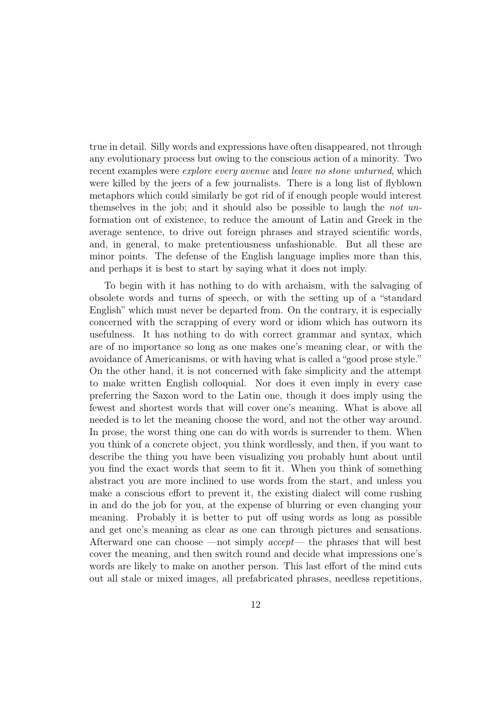true in detail. Silly words and expressions have often disappeared, not through any evolutionary process but owing to the conscious action of a minority. Two recent examples were *explore every avenue* and *leave no stone unturned*, which were killed by the jeers of a few journalists. There is a long list of flyblown metaphors which could similarly be got rid of if enough people would interest themselves in the job; and it should also be possible to laugh the not unformation out of existence, to reduce the amount of Latin and Greek in the average sentence, to drive out foreign phrases and strayed scientific words, and, in general, to make pretentiousness unfashionable. But all these are minor points. The defense of the English language implies more than this, and perhaps it is best to start by saying what it does not imply.

To begin with it has nothing to do with archaism, with the salvaging of obsolete words and turns of speech, or with the setting up of a "standard English" which must never be departed from. On the contrary, it is especially concerned with the scrapping of every word or idiom which has outworn its usefulness. It has nothing to do with correct grammar and syntax, which are of no importance so long as one makes one's meaning clear, or with the avoidance of Americanisms, or with having what is called a "good prose style." On the other hand, it is not concerned with fake simplicity and the attempt to make written English colloquial. Nor does it even imply in every case preferring the Saxon word to the Latin one, though it does imply using the fewest and shortest words that will cover one's meaning. What is above all needed is to let the meaning choose the word, and not the other way around. In prose, the worst thing one can do with words is surrender to them. When you think of a concrete object, you think wordlessly, and then, if you want to describe the thing you have been visualizing you probably hunt about until you find the exact words that seem to fit it. When you think of something abstract you are more inclined to use words from the start, and unless you make a conscious effort to prevent it, the existing dialect will come rushing in and do the job for you, at the expense of blurring or even changing your meaning. Probably it is better to put off using words as long as possible and get one's meaning as clear as one can through pictures and sensations. Afterward one can choose —not simply accept— the phrases that will best cover the meaning, and then switch round and decide what impressions one's words are likely to make on another person. This last effort of the mind cuts out all stale or mixed images, all prefabricated phrases, needless repetitions,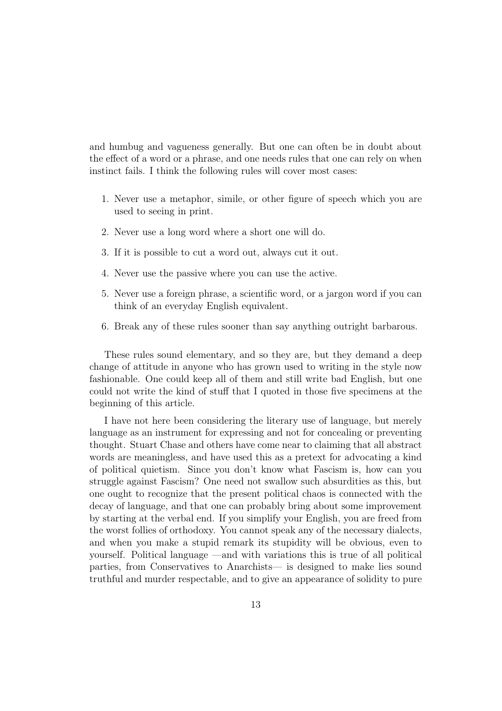and humbug and vagueness generally. But one can often be in doubt about the effect of a word or a phrase, and one needs rules that one can rely on when instinct fails. I think the following rules will cover most cases:

- 1. Never use a metaphor, simile, or other figure of speech which you are used to seeing in print.
- 2. Never use a long word where a short one will do.
- 3. If it is possible to cut a word out, always cut it out.
- 4. Never use the passive where you can use the active.
- 5. Never use a foreign phrase, a scientific word, or a jargon word if you can think of an everyday English equivalent.
- 6. Break any of these rules sooner than say anything outright barbarous.

These rules sound elementary, and so they are, but they demand a deep change of attitude in anyone who has grown used to writing in the style now fashionable. One could keep all of them and still write bad English, but one could not write the kind of stuff that I quoted in those five specimens at the beginning of this article.

I have not here been considering the literary use of language, but merely language as an instrument for expressing and not for concealing or preventing thought. Stuart Chase and others have come near to claiming that all abstract words are meaningless, and have used this as a pretext for advocating a kind of political quietism. Since you don't know what Fascism is, how can you struggle against Fascism? One need not swallow such absurdities as this, but one ought to recognize that the present political chaos is connected with the decay of language, and that one can probably bring about some improvement by starting at the verbal end. If you simplify your English, you are freed from the worst follies of orthodoxy. You cannot speak any of the necessary dialects, and when you make a stupid remark its stupidity will be obvious, even to yourself. Political language —and with variations this is true of all political parties, from Conservatives to Anarchists— is designed to make lies sound truthful and murder respectable, and to give an appearance of solidity to pure